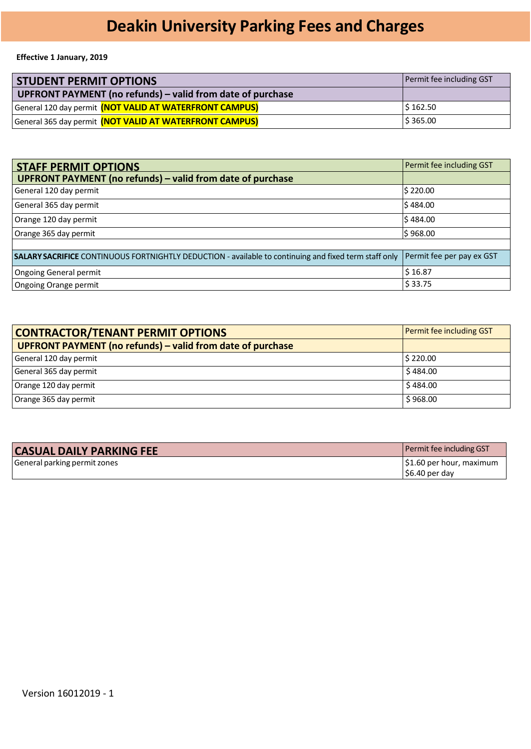# **Deakin University Parking Fees and Charges**

#### **Effective 1 January, 2019**

| <b>STUDENT PERMIT OPTIONS</b>                              |                                                         | Permit fee including GST |
|------------------------------------------------------------|---------------------------------------------------------|--------------------------|
| UPFRONT PAYMENT (no refunds) – valid from date of purchase |                                                         |                          |
|                                                            | General 120 day permit (NOT VALID AT WATERFRONT CAMPUS) | $\frac{1}{2}$ 162.50     |
|                                                            | General 365 day permit (NOT VALID AT WATERFRONT CAMPUS) | \$365.00                 |

| <b>STAFF PERMIT OPTIONS</b>                                                                                  | Permit fee including GST  |
|--------------------------------------------------------------------------------------------------------------|---------------------------|
| UPFRONT PAYMENT (no refunds) - valid from date of purchase                                                   |                           |
| General 120 day permit                                                                                       | \$220.00                  |
| General 365 day permit                                                                                       | \$484.00                  |
| Orange 120 day permit                                                                                        | \$484.00                  |
| Orange 365 day permit                                                                                        | \$968.00                  |
|                                                                                                              |                           |
| <b>SALARY SACRIFICE</b> CONTINUOUS FORTNIGHTLY DEDUCTION - available to continuing and fixed term staff only | Permit fee per pay ex GST |
| Ongoing General permit                                                                                       | \$16.87                   |
| Ongoing Orange permit                                                                                        | \$33.75                   |

| <b>CONTRACTOR/TENANT PERMIT OPTIONS</b>                    | Permit fee including GST |
|------------------------------------------------------------|--------------------------|
| UPFRONT PAYMENT (no refunds) – valid from date of purchase |                          |
| General 120 day permit                                     | 5220.00                  |
| General 365 day permit                                     | \$484.00                 |
| Orange 120 day permit                                      | \$484.00                 |
| Orange 365 day permit                                      | \$968.00                 |

| <b>CASUAL DAILY PARKING FEE</b> | Permit fee including GST |
|---------------------------------|--------------------------|
| General parking permit zones    | S1.60 per hour, maximum  |
|                                 | S6.40 per day            |